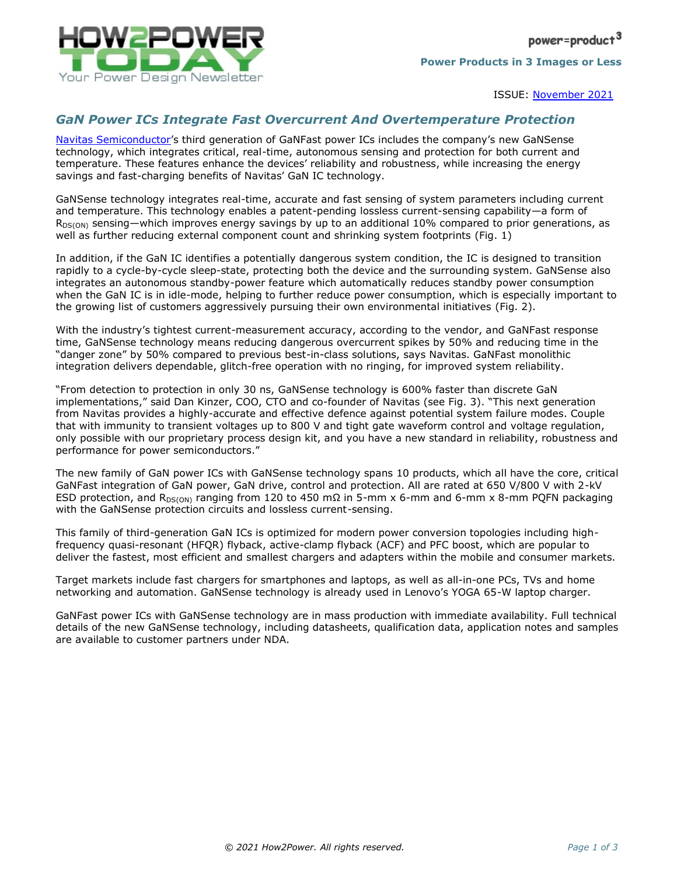

ISSUE: [November](http://www.how2power.com/newsletters/2111/index.html) 2021

## *GaN Power ICs Integrate Fast Overcurrent And Overtemperature Protection*

[Navitas Semiconductor](https://www.navitassemi.com/)'s third generation of GaNFast power ICs includes the company's new GaNSense technology, which integrates critical, real-time, autonomous sensing and protection for both current and temperature. These features enhance the devices' reliability and robustness, while increasing the energy savings and fast-charging benefits of Navitas' GaN IC technology.

GaNSense technology integrates real-time, accurate and fast sensing of system parameters including current and temperature. This technology enables a patent-pending lossless current-sensing capability—a form of R<sub>DS(ON)</sub> sensing—which improves energy savings by up to an additional 10% compared to prior generations, as well as further reducing external component count and shrinking system footprints (Fig. 1)

In addition, if the GaN IC identifies a potentially dangerous system condition, the IC is designed to transition rapidly to a cycle-by-cycle sleep-state, protecting both the device and the surrounding system. GaNSense also integrates an autonomous standby-power feature which automatically reduces standby power consumption when the GaN IC is in idle-mode, helping to further reduce power consumption, which is especially important to the growing list of customers aggressively pursuing their own environmental initiatives (Fig. 2).

With the industry's tightest current-measurement accuracy, according to the vendor, and GaNFast response time, GaNSense technology means reducing dangerous overcurrent spikes by 50% and reducing time in the "danger zone" by 50% compared to previous best-in-class solutions, says Navitas. GaNFast monolithic integration delivers dependable, glitch-free operation with no ringing, for improved system reliability.

"From detection to protection in only 30 ns, GaNSense technology is 600% faster than discrete GaN implementations," said Dan Kinzer, COO, CTO and co-founder of Navitas (see Fig. 3). "This next generation from Navitas provides a highly-accurate and effective defence against potential system failure modes. Couple that with immunity to transient voltages up to 800 V and tight gate waveform control and voltage regulation, only possible with our proprietary process design kit, and you have a new standard in reliability, robustness and performance for power semiconductors."

The new family of GaN power ICs with GaNSense technology spans 10 products, which all have the core, critical GaNFast integration of GaN power, GaN drive, control and protection. All are rated at 650 V/800 V with 2-kV ESD protection, and R<sub>DS(ON)</sub> ranging from 120 to 450 mΩ in 5-mm x 6-mm and 6-mm x 8-mm PQFN packaging with the GaNSense protection circuits and lossless current-sensing.

This family of third-generation GaN ICs is optimized for modern power conversion topologies including highfrequency quasi-resonant (HFQR) flyback, active-clamp flyback (ACF) and PFC boost, which are popular to deliver the fastest, most efficient and smallest chargers and adapters within the mobile and consumer markets.

Target markets include fast chargers for smartphones and laptops, as well as all-in-one PCs, TVs and home networking and automation. GaNSense technology is already used in Lenovo's YOGA 65-W laptop charger.

GaNFast power ICs with GaNSense technology are in mass production with immediate availability. Full technical details of the new GaNSense technology, including datasheets, qualification data, application notes and samples are available to customer partners under NDA.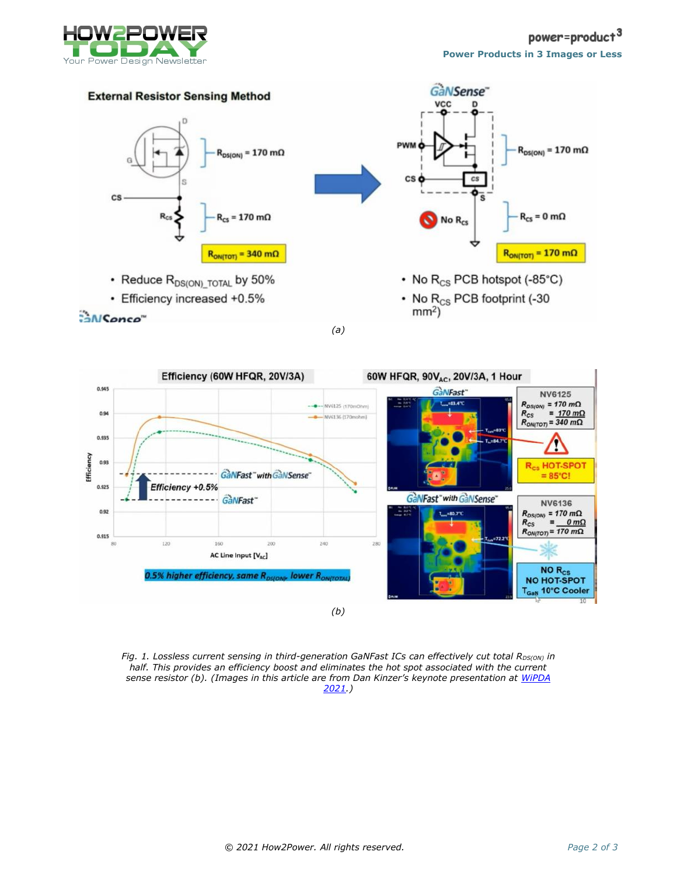



*(a)*



*Fig. 1. Lossless current sensing in third-generation GaNFast ICs can effectively cut total R<sub>DS(ON)</sub> in half. This provides an efficiency boost and eliminates the hot spot associated with the current sense resistor (b). (Images in this article are from Dan Kinzer's keynote presentation at [WiPDA](https://wipda.org/)  [2021.](https://wipda.org/))*